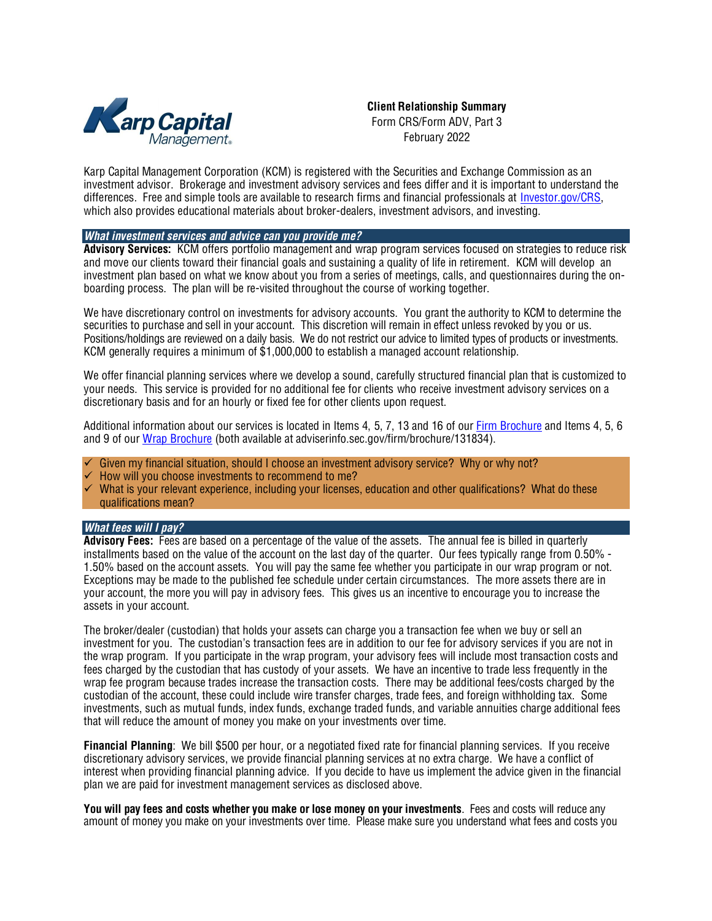

**Client Relationship Summary** Form CRS/Form ADV, Part 3 February 2022

Karp Capital Management Corporation (KCM) is registered with the Securities and Exchange Commission as an investment advisor. Brokerage and investment advisory services and fees differ and it is important to understand the differences. Free and simple tools are available to research firms and financial professionals at [Investor.gov/CRS,](http://investor.gov/CRS) which also provides educational materials about broker-dealers, investment advisors, and investing.

### *What investment services and advice can you provide me?*

**Advisory Services:** KCM offers portfolio management and wrap program services focused on strategies to reduce risk and move our clients toward their financial goals and sustaining a quality of life in retirement. KCM will develop an investment plan based on what we know about you from a series of meetings, calls, and questionnaires during the onboarding process. The plan will be re-visited throughout the course of working together.

We have discretionary control on investments for advisory accounts. You grant the authority to KCM to determine the securities to purchase and sell in your account. This discretion will remain in effect unless revoked by you or us. Positions/holdings are reviewed on a daily basis. We do not restrict our advice to limited types of products or investments. KCM generally requires a minimum of \$1,000,000 to establish a managed account relationship.

We offer financial planning services where we develop a sound, carefully structured financial plan that is customized to your needs. This service is provided for no additional fee for clients who receive investment advisory services on a discretionary basis and for an hourly or fixed fee for other clients upon request.

Additional information about our services is located in Items 4, 5, 7, 13 and 16 of ou[r Firm Brochure](https://adviserinfo.sec.gov/firm/brochure/131834) and Items 4, 5, 6 and 9 of ou[r Wrap Brochure](https://adviserinfo.sec.gov/firm/brochure/131834) (both available at adviserinfo.sec.gov/firm/brochure/131834).

- Given my financial situation, should I choose an investment advisory service? Why or why not?
- How will you choose investments to recommend to me?
- What is your relevant experience, including your licenses, education and other qualifications? What do these qualifications mean?

# *What fees will I pay?*

**Advisory Fees:** Fees are based on a percentage of the value of the assets. The annual fee is billed in quarterly installments based on the value of the account on the last day of the quarter. Our fees typically range from 0.50% - 1.50% based on the account assets. You will pay the same fee whether you participate in our wrap program or not. Exceptions may be made to the published fee schedule under certain circumstances. The more assets there are in your account, the more you will pay in advisory fees. This gives us an incentive to encourage you to increase the assets in your account.

The broker/dealer (custodian) that holds your assets can charge you a transaction fee when we buy or sell an investment for you. The custodian's transaction fees are in addition to our fee for advisory services if you are not in the wrap program. If you participate in the wrap program, your advisory fees will include most transaction costs and fees charged by the custodian that has custody of your assets. We have an incentive to trade less frequently in the wrap fee program because trades increase the transaction costs. There may be additional fees/costs charged by the custodian of the account, these could include wire transfer charges, trade fees, and foreign withholding tax. Some investments, such as mutual funds, index funds, exchange traded funds, and variable annuities charge additional fees that will reduce the amount of money you make on your investments over time.

**Financial Planning**: We bill \$500 per hour, or a negotiated fixed rate for financial planning services. If you receive discretionary advisory services, we provide financial planning services at no extra charge. We have a conflict of interest when providing financial planning advice. If you decide to have us implement the advice given in the financial plan we are paid for investment management services as disclosed above.

**You will pay fees and costs whether you make or lose money on your investments**. Fees and costs will reduce any amount of money you make on your investments over time. Please make sure you understand what fees and costs you